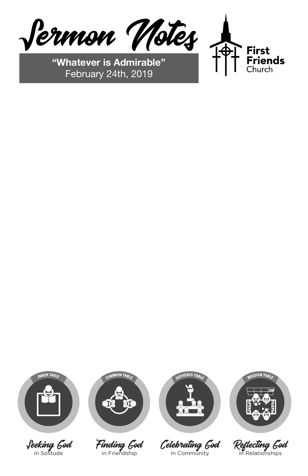Finding God in Friendship

Celebrating God